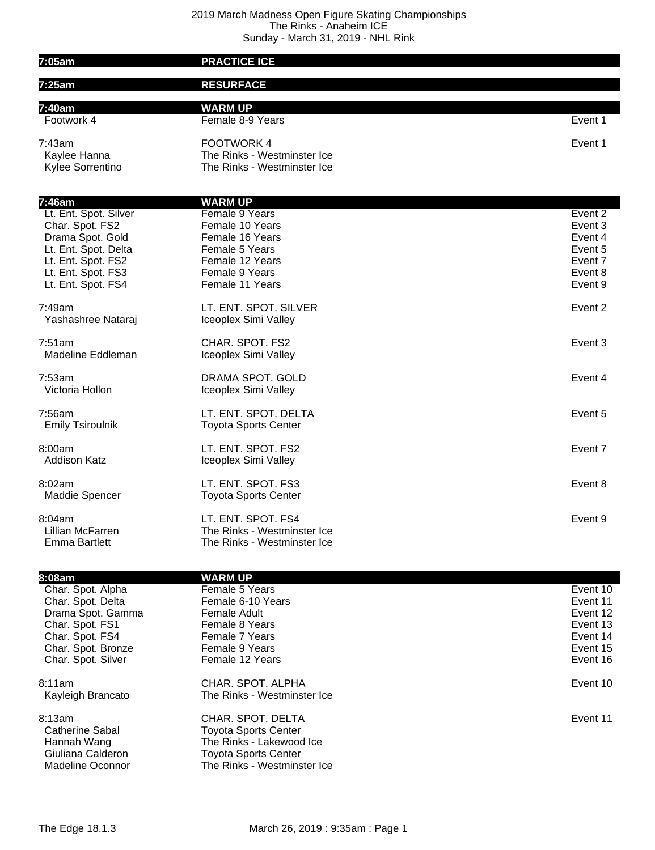## 2019 March Madness Open Figure Skating Championships The Rinks - Anaheim ICE Sunday - March 31, 2019 - NHL Rink

| 7:05am                                                                                                                                                           | <b>PRACTICE ICE</b>                                                                                                                              |                                                                                  |
|------------------------------------------------------------------------------------------------------------------------------------------------------------------|--------------------------------------------------------------------------------------------------------------------------------------------------|----------------------------------------------------------------------------------|
| 7:25am                                                                                                                                                           | <b>RESURFACE</b>                                                                                                                                 |                                                                                  |
| 7:40am                                                                                                                                                           | <b>WARM UP</b>                                                                                                                                   |                                                                                  |
| Footwork 4                                                                                                                                                       | Female 8-9 Years                                                                                                                                 | Event 1                                                                          |
| 7:43am<br>Kaylee Hanna<br>Kylee Sorrentino                                                                                                                       | <b>FOOTWORK 4</b><br>The Rinks - Westminster Ice<br>The Rinks - Westminster Ice                                                                  | Event 1                                                                          |
|                                                                                                                                                                  |                                                                                                                                                  |                                                                                  |
| 7:46am<br>Lt. Ent. Spot. Silver<br>Char. Spot. FS2<br>Drama Spot. Gold<br>Lt. Ent. Spot. Delta<br>Lt. Ent. Spot. FS2<br>Lt. Ent. Spot. FS3<br>Lt. Ent. Spot. FS4 | <b>WARM UP</b><br>Female 9 Years<br>Female 10 Years<br>Female 16 Years<br>Female 5 Years<br>Female 12 Years<br>Female 9 Years<br>Female 11 Years | Event 2<br>Event 3<br>Event 4<br>Event 5<br>Event 7<br>Event 8<br>Event 9        |
| 7:49am<br>Yashashree Nataraj                                                                                                                                     | LT. ENT. SPOT. SILVER<br>Iceoplex Simi Valley                                                                                                    | Event 2                                                                          |
| 7:51am<br>Madeline Eddleman                                                                                                                                      | CHAR. SPOT. FS2<br>Iceoplex Simi Valley                                                                                                          | Event 3                                                                          |
| 7:53am<br>Victoria Hollon                                                                                                                                        | DRAMA SPOT. GOLD<br>Iceoplex Simi Valley                                                                                                         | Event 4                                                                          |
| 7:56am<br><b>Emily Tsiroulnik</b>                                                                                                                                | LT. ENT. SPOT. DELTA<br><b>Toyota Sports Center</b>                                                                                              | Event 5                                                                          |
| 8:00am<br><b>Addison Katz</b>                                                                                                                                    | LT. ENT. SPOT. FS2<br>Iceoplex Simi Valley                                                                                                       | Event 7                                                                          |
| 8:02am<br>Maddie Spencer                                                                                                                                         | LT. ENT. SPOT. FS3<br><b>Toyota Sports Center</b>                                                                                                | Event 8                                                                          |
| 8:04am<br>Lillian McFarren<br><b>Emma Bartlett</b>                                                                                                               | LT. ENT. SPOT. FS4<br>The Rinks - Westminster Ice<br>The Rinks - Westminster Ice                                                                 | Event 9                                                                          |
| 8:08am                                                                                                                                                           | <b>WARM UP</b>                                                                                                                                   |                                                                                  |
| Char. Spot. Alpha<br>Char. Spot. Delta<br>Drama Spot. Gamma<br>Char. Spot. FS1<br>Char. Spot. FS4<br>Char. Spot. Bronze<br>Char. Spot. Silver                    | Female 5 Years<br>Female 6-10 Years<br><b>Female Adult</b><br>Female 8 Years<br>Female 7 Years<br>Female 9 Years<br>Female 12 Years              | Event 10<br>Event 11<br>Event 12<br>Event 13<br>Event 14<br>Event 15<br>Event 16 |
| 8:11am<br>Kayleigh Brancato                                                                                                                                      | CHAR. SPOT. ALPHA<br>The Rinks - Westminster Ice                                                                                                 | Event 10                                                                         |
| 8:13am<br><b>Catherine Sabal</b><br>Hannah Wang<br>Giuliana Calderon<br><b>Madeline Oconnor</b>                                                                  | CHAR. SPOT. DELTA<br><b>Toyota Sports Center</b><br>The Rinks - Lakewood Ice<br><b>Toyota Sports Center</b><br>The Rinks - Westminster Ice       | Event 11                                                                         |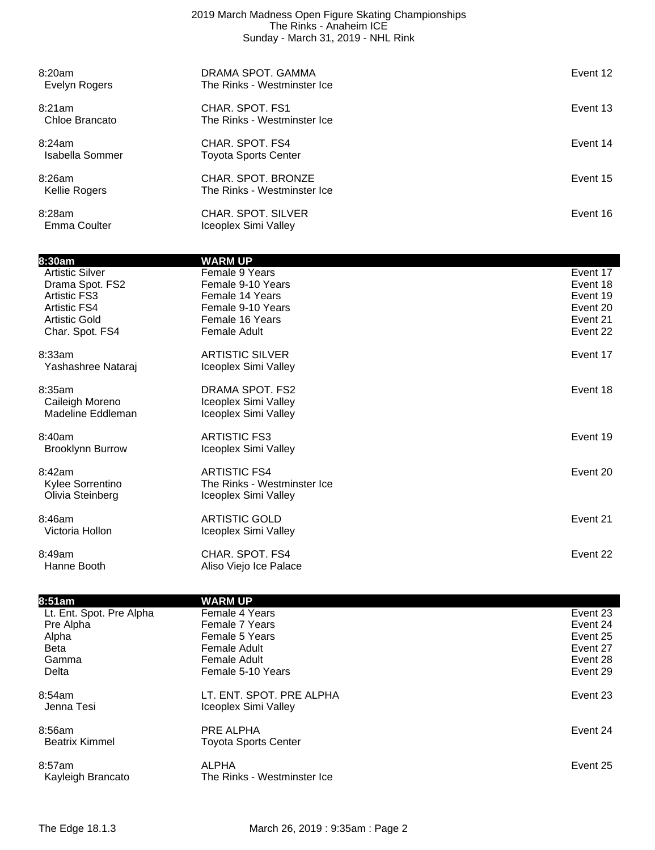## 2019 March Madness Open Figure Skating Championships The Rinks - Anaheim ICE Sunday - March 31, 2019 - NHL Rink

| 8:20am<br>Evelyn Rogers   | DRAMA SPOT. GAMMA<br>The Rinks - Westminster Ice  | Event 12 |
|---------------------------|---------------------------------------------------|----------|
| 8:21am<br>Chloe Brancato  | CHAR. SPOT. FS1<br>The Rinks - Westminster Ice    | Event 13 |
| 8:24am<br>Isabella Sommer | CHAR. SPOT. FS4<br>Toyota Sports Center           | Event 14 |
| 8:26am<br>Kellie Rogers   | CHAR. SPOT. BRONZE<br>The Rinks - Westminster Ice | Event 15 |
| 8:28am<br>Emma Coulter    | CHAR, SPOT, SILVER<br>Iceoplex Simi Valley        | Event 16 |

| 8:30am                  | <b>WARM UP</b>              |          |
|-------------------------|-----------------------------|----------|
| <b>Artistic Silver</b>  | Female 9 Years              | Event 17 |
| Drama Spot. FS2         | Female 9-10 Years           | Event 18 |
| <b>Artistic FS3</b>     | Female 14 Years             | Event 19 |
| <b>Artistic FS4</b>     | Female 9-10 Years           | Event 20 |
| <b>Artistic Gold</b>    | Female 16 Years             | Event 21 |
| Char. Spot. FS4         | Female Adult                | Event 22 |
| 8:33am                  | <b>ARTISTIC SILVER</b>      | Event 17 |
| Yashashree Nataraj      | Iceoplex Simi Valley        |          |
| 8:35am                  | DRAMA SPOT. FS2             | Event 18 |
| Caileigh Moreno         | Iceoplex Simi Valley        |          |
| Madeline Eddleman       | Iceoplex Simi Valley        |          |
| 8:40am                  | <b>ARTISTIC FS3</b>         | Event 19 |
| <b>Brooklynn Burrow</b> | Iceoplex Simi Valley        |          |
| 8:42am                  | <b>ARTISTIC FS4</b>         | Event 20 |
| Kylee Sorrentino        | The Rinks - Westminster Ice |          |
| Olivia Steinberg        | Iceoplex Simi Valley        |          |
| 8:46am                  | <b>ARTISTIC GOLD</b>        | Event 21 |
| Victoria Hollon         | Iceoplex Simi Valley        |          |
| 8:49am                  | CHAR. SPOT. FS4             | Event 22 |
| Hanne Booth             | Aliso Viejo Ice Palace      |          |

| 8:51am                   | <b>WARM UP</b>              |          |
|--------------------------|-----------------------------|----------|
| Lt. Ent. Spot. Pre Alpha | Female 4 Years              | Event 23 |
| Pre Alpha                | Female 7 Years              | Event 24 |
| Alpha                    | Female 5 Years              | Event 25 |
| <b>Beta</b>              | <b>Female Adult</b>         | Event 27 |
| Gamma                    | Female Adult                | Event 28 |
| Delta                    | Female 5-10 Years           | Event 29 |
| 8:54am                   | LT. ENT. SPOT. PRE ALPHA    | Event 23 |
| Jenna Tesi               | Iceoplex Simi Valley        |          |
| 8:56am                   | PRE ALPHA                   | Event 24 |
| <b>Beatrix Kimmel</b>    | <b>Toyota Sports Center</b> |          |
| 8:57am                   | <b>ALPHA</b>                | Event 25 |
| Kayleigh Brancato        | The Rinks - Westminster Ice |          |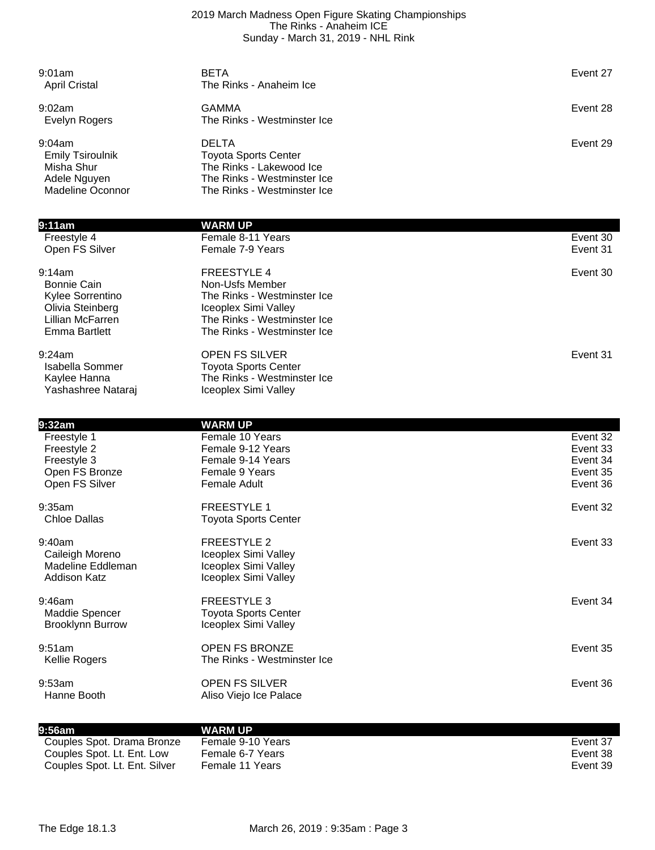## 2019 March Madness Open Figure Skating Championships The Rinks - Anaheim ICE Sunday - March 31, 2019 - NHL Rink

| 9:01am<br><b>April Cristal</b>                                                                            | <b>BETA</b><br>The Rinks - Anaheim Ice                                                                                                                     | Event 27             |
|-----------------------------------------------------------------------------------------------------------|------------------------------------------------------------------------------------------------------------------------------------------------------------|----------------------|
| 9:02am<br>Evelyn Rogers                                                                                   | <b>GAMMA</b><br>The Rinks - Westminster Ice                                                                                                                | Event 28             |
| 9:04am<br><b>Emily Tsiroulnik</b><br>Misha Shur<br>Adele Nguyen<br><b>Madeline Oconnor</b>                | <b>DELTA</b><br><b>Toyota Sports Center</b><br>The Rinks - Lakewood Ice<br>The Rinks - Westminster Ice<br>The Rinks - Westminster Ice                      | Event 29             |
| 9:11am                                                                                                    | <b>WARM UP</b>                                                                                                                                             |                      |
| Freestyle 4<br>Open FS Silver                                                                             | Female 8-11 Years<br>Female 7-9 Years                                                                                                                      | Event 30<br>Event 31 |
| 9:14am<br>Bonnie Cain<br>Kylee Sorrentino<br>Olivia Steinberg<br>Lillian McFarren<br><b>Emma Bartlett</b> | <b>FREESTYLE 4</b><br>Non-Usfs Member<br>The Rinks - Westminster Ice<br>Iceoplex Simi Valley<br>The Rinks - Westminster Ice<br>The Rinks - Westminster Ice | Event 30             |
| 9:24am<br>Isabella Sommer<br>Kaylee Hanna<br>Yashashree Nataraj                                           | <b>OPEN FS SILVER</b><br><b>Toyota Sports Center</b><br>The Rinks - Westminster Ice<br>Iceoplex Simi Valley                                                | Event 31             |
| 9:32am                                                                                                    | <b>WARM UP</b>                                                                                                                                             |                      |
| Freestyle 1<br>Freestyle 2                                                                                | Female 10 Years<br>Female 9-12 Years                                                                                                                       | Event 32<br>Event 33 |
| Freestyle 3                                                                                               | Female 9-14 Years                                                                                                                                          | Event 34             |
| Open FS Bronze<br>Open FS Silver                                                                          | Female 9 Years<br><b>Female Adult</b>                                                                                                                      | Event 35<br>Event 36 |
|                                                                                                           |                                                                                                                                                            |                      |
| 9:35am<br><b>Chloe Dallas</b>                                                                             | <b>FREESTYLE 1</b><br><b>Toyota Sports Center</b>                                                                                                          | Event 32             |
| 9:40am<br>Caileigh Moreno<br>Madeline Eddleman<br><b>Addison Katz</b>                                     | <b>FREESTYLE 2</b><br>Iceoplex Simi Valley<br>Iceoplex Simi Valley<br>Iceoplex Simi Valley                                                                 | Event 33             |
| 9:46am<br>Maddie Spencer<br><b>Brooklynn Burrow</b>                                                       | <b>FREESTYLE 3</b><br><b>Toyota Sports Center</b><br>Iceoplex Simi Valley                                                                                  | Event 34             |
| 9:51am<br>Kellie Rogers                                                                                   | OPEN FS BRONZE<br>The Rinks - Westminster Ice                                                                                                              | Event 35             |

| $9:56$ am                     | <b>WARM UP</b>    |          |
|-------------------------------|-------------------|----------|
| Couples Spot. Drama Bronze    | Female 9-10 Years | Event 37 |
| Couples Spot. Lt. Ent. Low    | Female 6-7 Years  | Event 38 |
| Couples Spot. Lt. Ent. Silver | Female 11 Years   | Event 39 |